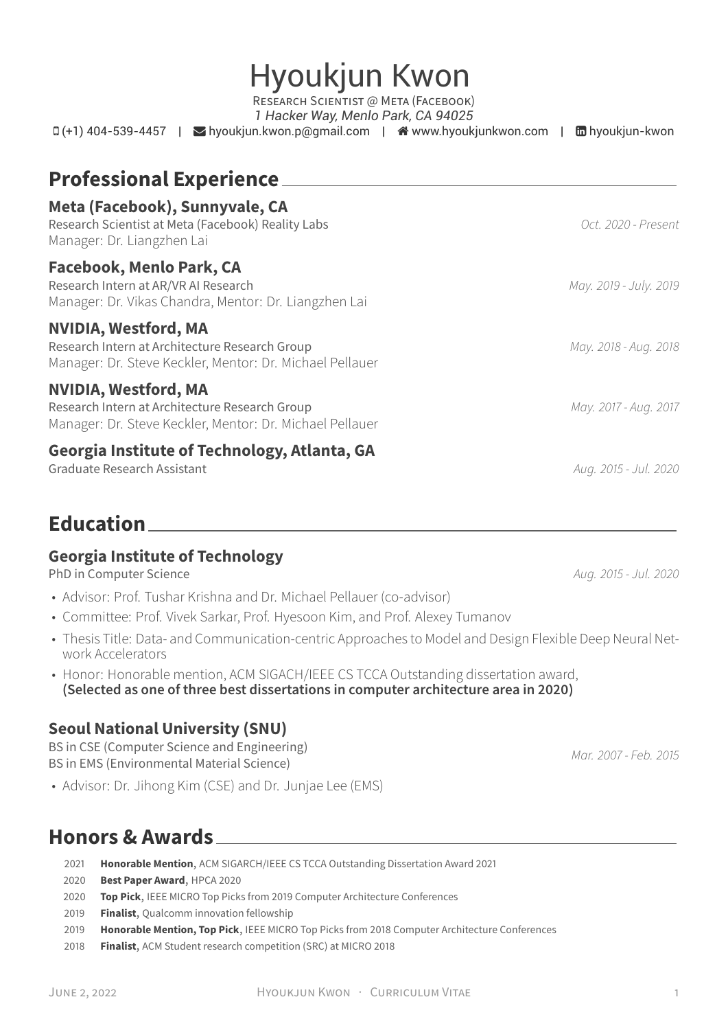| <b>Professional Experience</b>                                                                                                            |                        |
|-------------------------------------------------------------------------------------------------------------------------------------------|------------------------|
| Meta (Facebook), Sunnyvale, CA<br>Research Scientist at Meta (Facebook) Reality Labs<br>Manager: Dr. Liangzhen Lai                        | Oct. 2020 - Present    |
| Facebook, Menlo Park, CA<br>Research Intern at AR/VR AI Research<br>Manager: Dr. Vikas Chandra, Mentor: Dr. Liangzhen Lai                 | May. 2019 - July. 2019 |
| <b>NVIDIA, Westford, MA</b><br>Research Intern at Architecture Research Group<br>Manager: Dr. Steve Keckler, Mentor: Dr. Michael Pellauer | May. 2018 - Aug. 2018  |
| <b>NVIDIA, Westford, MA</b><br>Research Intern at Architecture Research Group                                                             | May. 2017 - Aug. 2017  |

#### **Georgia Institute of Technology, Atlanta, GA**

Manager: Dr. Steve Keckler, Mentor: Dr. Michael Pellauer

Graduate Research Assistant *Aug. 2015 - Jul. 2020*

## **Education**

#### **Georgia Institute of Technology**

PhD in Computer Science *Aug. 2015 - Jul. 2020*

- Advisor: Prof. Tushar Krishna and Dr. Michael Pellauer (co-advisor)
- Committee: Prof. Vivek Sarkar, Prof. Hyesoon Kim, and Prof. Alexey Tumanov
- Thesis Title: Data- and Communication-centric Approaches to Model and Design Flexible Deep Neural Network Accelerators
- Honor: Honorable mention, ACM SIGACH/IEEE CS TCCA Outstanding dissertation award, **(Selected as one of three best dissertations in computer architecture area in 2020)**

#### **Seoul National University (SNU)**

BS in CSE (Computer Science and Engineering) BS in EMS (Environmental Material Science) *Mar. 2007 - Feb. 2015*

• Advisor: Dr. Jihong Kim (CSE) and Dr. Junjae Lee (EMS)

## **Honors & Awards**

- 2021 **Honorable Mention**, ACM SIGARCH/IEEE CS TCCA Outstanding Dissertation Award 2021
- 2020 **Best Paper Award**, HPCA 2020
- 2020 **Top Pick**, IEEE MICRO Top Picks from 2019 Computer Architecture Conferences
- 2019 **Finalist**, Qualcomm innovation fellowship
- 2019 **Honorable Mention, Top Pick**, IEEE MICRO Top Picks from 2018 Computer Architecture Conferences
- 2018 **Finalist**, ACM Student research competition (SRC) at MICRO 2018

Hyoukjun Kwon RESEARCH SCIENTIST @ META (FACEBOOK)

*1 Hacker Way, Menlo Park, CA 94025*  $\Box$  (+1) 404-539-4457 |  $\blacksquare$  [hyoukjun.kwon.p@gmail.com](mailto:hyoukjun.kwon.p@gmail.com) |  $\clubsuit$  [www.hyoukjunkwon.com](http://www.hyoukjunkwon.com) |  $\Box$  [hyoukjun-kwon](https://www.linkedin.com/in/hyoukjun-kwon)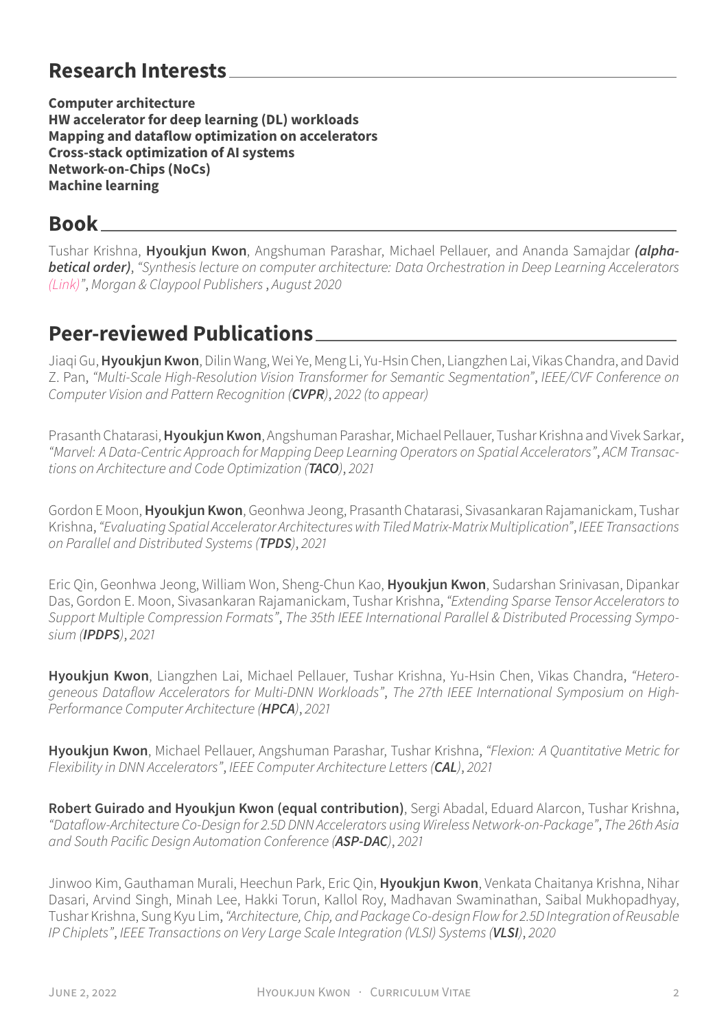# **Research Interests**

**Computer architecture HW accelerator for deep learning (DL) workloads Mapping and dataflow optimization on accelerators Cross-stack optimization of AI systems Network-on-Chips (NoCs) Machine learning**

#### **Book**

Tushar Krishna, **Hyoukjun Kwon**, Angshuman Parashar, Michael Pellauer, and Ananda Samajdar *(alphabetical order)*, *"Synthesis lecture on computer architecture: Data Orchestration in Deep Learning Accelerators [\(Link\)](https://www.morganclaypool.com/doi/10.2200/S01015ED1V01Y202005CAC052)"*, *Morgan & Claypool Publishers*, *August 2020*

# **Peer-reviewed Publications**

Jiaqi Gu,**Hyoukjun Kwon**, Dilin Wang, Wei Ye, Meng Li, Yu-Hsin Chen, Liangzhen Lai, Vikas Chandra, and David Z. Pan, *"Multi-Scale High-Resolution Vision Transformer for Semantic Segmentation"*, *IEEE/CVF Conference on Computer Vision and Pattern Recognition (CVPR)*, *2022 (to appear)*

Prasanth Chatarasi,**Hyoukjun Kwon**, Angshuman Parashar, Michael Pellauer, Tushar Krishna and Vivek Sarkar, *"Marvel: A Data-Centric Approach for Mapping Deep Learning Operators on Spatial Accelerators"*, *ACM Transactions on Architecture and Code Optimization (TACO)*, *2021*

Gordon E Moon,**Hyoukjun Kwon**, Geonhwa Jeong, Prasanth Chatarasi, Sivasankaran Rajamanickam, Tushar Krishna,*"Evaluating Spatial Accelerator Architectures with Tiled Matrix-Matrix Multiplication"*, *IEEE Transactions on Parallel and Distributed Systems (TPDS)*, *2021*

Eric Qin, Geonhwa Jeong, William Won, Sheng-Chun Kao, **Hyoukjun Kwon**, Sudarshan Srinivasan, Dipankar Das, Gordon E. Moon, Sivasankaran Rajamanickam, Tushar Krishna, *"Extending Sparse Tensor Accelerators to Support Multiple Compression Formats"*, *The 35th IEEE International Parallel & Distributed Processing Symposium (IPDPS)*, *2021*

**Hyoukjun Kwon**, Liangzhen Lai, Michael Pellauer, Tushar Krishna, Yu-Hsin Chen, Vikas Chandra, *"Heterogeneous Dataflow Accelerators for Multi-DNN Workloads"*, *The 27th IEEE International Symposium on High-Performance Computer Architecture (HPCA)*, *2021*

**Hyoukjun Kwon**, Michael Pellauer, Angshuman Parashar, Tushar Krishna, *"Flexion: A Quantitative Metric for Flexibility in DNN Accelerators"*, *IEEE Computer Architecture Letters (CAL)*, *2021*

**Robert Guirado and Hyoukjun Kwon (equal contribution)**, Sergi Abadal, Eduard Alarcon, Tushar Krishna, *"Dataflow-Architecture Co-Design for 2.5D DNN Accelerators using Wireless Network-on-Package"*, *The 26th Asia and South Pacific Design Automation Conference (ASP-DAC)*, *2021*

Jinwoo Kim, Gauthaman Murali, Heechun Park, Eric Qin, **Hyoukjun Kwon**, Venkata Chaitanya Krishna, Nihar Dasari, Arvind Singh, Minah Lee, Hakki Torun, Kallol Roy, Madhavan Swaminathan, Saibal Mukhopadhyay, Tushar Krishna, Sung Kyu Lim,*"Architecture, Chip, and Package Co-design Flow for 2.5D Integration of Reusable IP Chiplets"*, *IEEE Transactions on Very Large Scale Integration (VLSI) Systems (VLSI)*, *2020*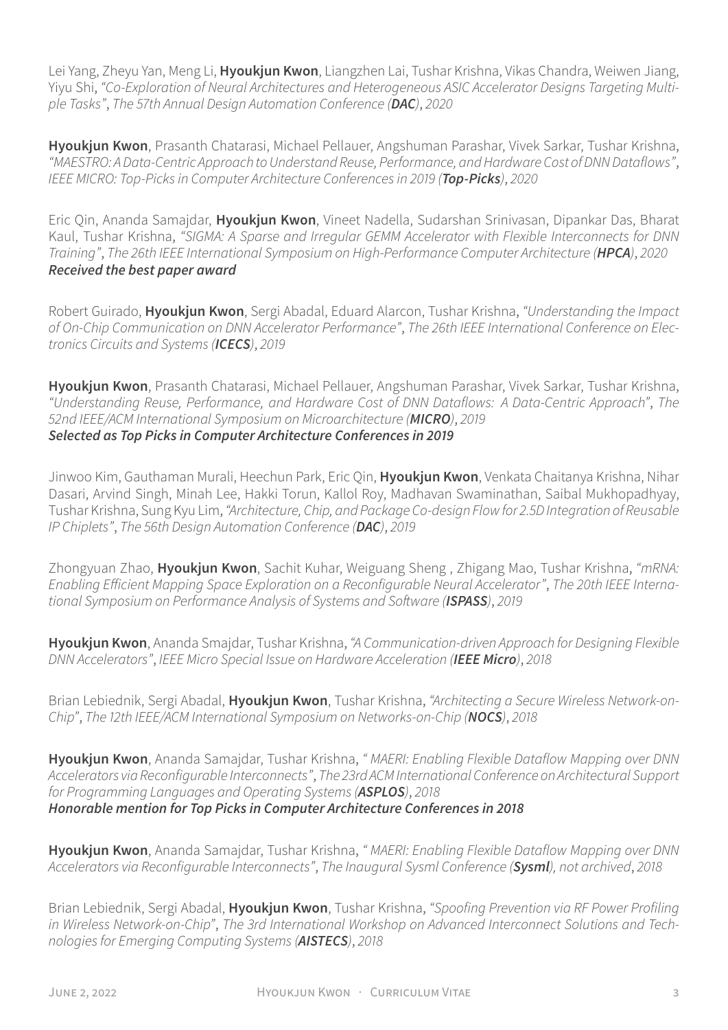Lei Yang, Zheyu Yan, Meng Li, **Hyoukjun Kwon**, Liangzhen Lai, Tushar Krishna, Vikas Chandra, Weiwen Jiang, Yiyu Shi, *"Co-Exploration of Neural Architectures and Heterogeneous ASIC Accelerator Designs Targeting Multiple Tasks"*, *The 57th Annual Design Automation Conference (DAC)*, *2020*

**Hyoukjun Kwon**, Prasanth Chatarasi, Michael Pellauer, Angshuman Parashar, Vivek Sarkar, Tushar Krishna, *"MAESTRO: A Data-Centric Approachto Understand Reuse, Performance, and Hardware Cost of DNN Dataflows"*, *IEEE MICRO: Top-Picks in Computer Architecture Conferences in 2019 (Top-Picks)*, *2020*

Eric Qin, Ananda Samajdar, **Hyoukjun Kwon**, Vineet Nadella, Sudarshan Srinivasan, Dipankar Das, Bharat Kaul, Tushar Krishna, *"SIGMA: A Sparse and Irregular GEMM Accelerator with Flexible Interconnects for DNN Training"*, *The 26th IEEE International Symposium on High-Performance Computer Architecture (HPCA)*, *2020 Received the best paper award*

Robert Guirado, **Hyoukjun Kwon**, Sergi Abadal, Eduard Alarcon, Tushar Krishna, *"Understanding the Impact of On-Chip Communication on DNN Accelerator Performance"*, *The 26th IEEE International Conference on Electronics Circuits and Systems (ICECS)*, *2019*

**Hyoukjun Kwon**, Prasanth Chatarasi, Michael Pellauer, Angshuman Parashar, Vivek Sarkar, Tushar Krishna, *"Understanding Reuse, Performance, and Hardware Cost of DNN Dataflows: A Data-Centric Approach"*, *The 52nd IEEE/ACM International Symposium on Microarchitecture (MICRO)*, *2019 Selected as Top Picks in Computer Architecture Conferences in 2019*

Jinwoo Kim, Gauthaman Murali, Heechun Park, Eric Qin, **Hyoukjun Kwon**, Venkata Chaitanya Krishna, Nihar Dasari, Arvind Singh, Minah Lee, Hakki Torun, Kallol Roy, Madhavan Swaminathan, Saibal Mukhopadhyay, Tushar Krishna, Sung Kyu Lim,*"Architecture, Chip, and Package Co-design Flow for 2.5D Integration of Reusable IP Chiplets"*, *The 56th Design Automation Conference (DAC)*, *2019*

Zhongyuan Zhao, **Hyoukjun Kwon**, Sachit Kuhar, Weiguang Sheng , Zhigang Mao, Tushar Krishna, *"mRNA: Enabling Efficient Mapping Space Exploration on a Reconfigurable Neural Accelerator"*, *The 20th IEEE International Symposium on Performance Analysis of Systems and Software (ISPASS)*, *2019*

**Hyoukjun Kwon**, Ananda Smajdar, Tushar Krishna,*"A Communication-driven Approach for Designing Flexible DNN Accelerators"*, *IEEE Micro Special Issue on Hardware Acceleration (IEEE Micro)*, *2018*

Brian Lebiednik, Sergi Abadal, **Hyoukjun Kwon**, Tushar Krishna, *"Architecting a Secure Wireless Network-on-Chip"*, *The 12th IEEE/ACM International Symposium on Networks-on-Chip (NOCS)*, *2018*

**Hyoukjun Kwon**, Ananda Samajdar, Tushar Krishna, *" MAERI: Enabling Flexible Dataflow Mapping over DNN Accelerators via Reconfigurable Interconnects"*, *The 23rd ACM International Conference on Architectural Support for Programming Languages and Operating Systems (ASPLOS)*, *2018 Honorable mention for Top Picks in Computer Architecture Conferences in 2018*

**Hyoukjun Kwon**, Ananda Samajdar, Tushar Krishna, *" MAERI: Enabling Flexible Dataflow Mapping over DNN Accelerators via Reconfigurable Interconnects"*, *The Inaugural Sysml Conference (Sysml), not archived*, *2018*

Brian Lebiednik, Sergi Abadal, **Hyoukjun Kwon**, Tushar Krishna, *"Spoofing Prevention via RF Power Profiling in Wireless Network-on-Chip"*, *The 3rd International Workshop on Advanced Interconnect Solutions and Technologies for Emerging Computing Systems (AISTECS)*, *2018*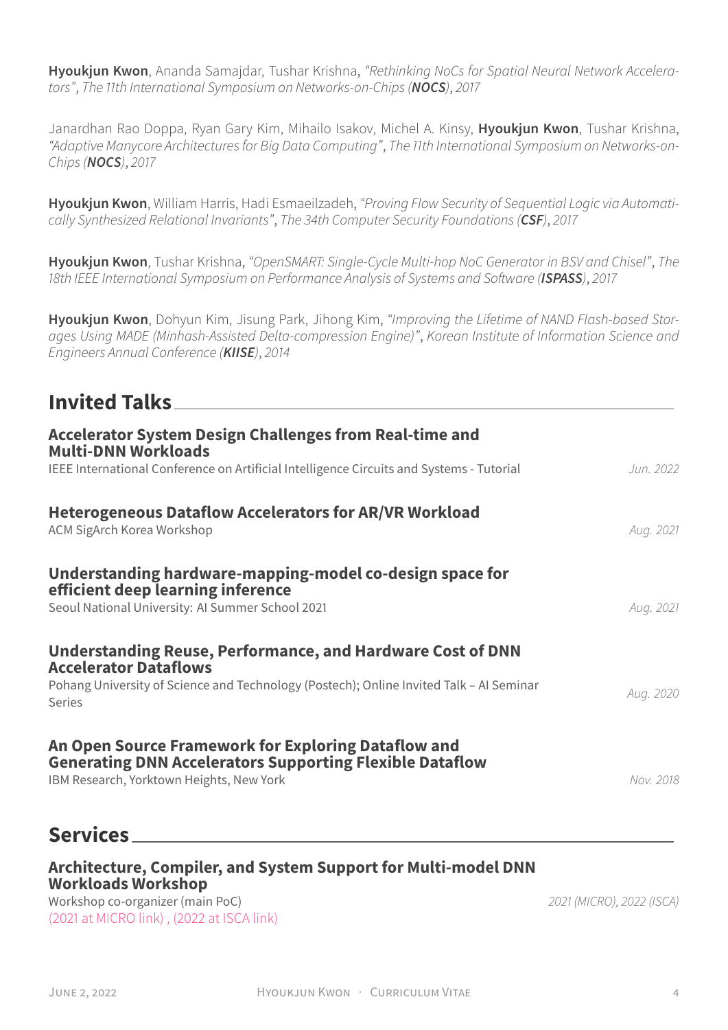**Hyoukjun Kwon**, Ananda Samajdar, Tushar Krishna, *"Rethinking NoCs for Spatial Neural Network Accelerators"*, *The 11th International Symposium on Networks-on-Chips (NOCS)*, *2017*

Janardhan Rao Doppa, Ryan Gary Kim, Mihailo Isakov, Michel A. Kinsy, **Hyoukjun Kwon**, Tushar Krishna, *"Adaptive Manycore Architectures for Big Data Computing"*, *The 11th International Symposium on Networks-on-Chips (NOCS)*, *2017*

**Hyoukjun Kwon**, William Harris, Hadi Esmaeilzadeh, *"Proving Flow Security of Sequential Logic via Automatically Synthesized Relational Invariants"*, *The 34th Computer Security Foundations (CSF)*, *2017*

**Hyoukjun Kwon**, Tushar Krishna, *"OpenSMART: Single-Cycle Multi-hop NoC Generator in BSV and Chisel"*, *The 18th IEEE International Symposium on Performance Analysis of Systems and Software (ISPASS)*, *2017*

**Hyoukjun Kwon**, Dohyun Kim, Jisung Park, Jihong Kim, *"Improving the Lifetime of NAND Flash-based Storages Using MADE (Minhash-Assisted Delta-compression Engine)"*, *Korean Institute of Information Science and Engineers Annual Conference (KIISE)*, *2014*

# **Invited Talks**

| <b>Accelerator System Design Challenges from Real-time and</b><br><b>Multi-DNN Workloads</b>                                                                                                                  |           |
|---------------------------------------------------------------------------------------------------------------------------------------------------------------------------------------------------------------|-----------|
| IEEE International Conference on Artificial Intelligence Circuits and Systems - Tutorial                                                                                                                      | Jun. 2022 |
| <b>Heterogeneous Dataflow Accelerators for AR/VR Workload</b><br><b>ACM SigArch Korea Workshop</b>                                                                                                            | Aug. 2021 |
| Understanding hardware-mapping-model co-design space for<br>efficient deep learning inference<br>Seoul National University: AI Summer School 2021                                                             | Aug. 2021 |
| <b>Understanding Reuse, Performance, and Hardware Cost of DNN</b><br><b>Accelerator Dataflows</b><br>Pohang University of Science and Technology (Postech); Online Invited Talk - AI Seminar<br><b>Series</b> | Aug. 2020 |
| An Open Source Framework for Exploring Dataflow and<br><b>Generating DNN Accelerators Supporting Flexible Dataflow</b><br>IBM Research, Yorktown Heights, New York                                            | Nov. 2018 |

## **Services**

#### **Architecture, Compiler, and System Support for Multi-model DNN Workloads Workshop**

Workshop co-organizer (main PoC) *2021 (MICRO), 2022 (ISCA)* [\(2021 at MICRO link\)](https://research.fb.com/arch-comp-sys-support-for-multi-model-dnn-workshop/) [, \(2022 at ISCA link\)](https://research.facebook.com/architecture-compiler-and-system-support-for-multimodel-dnn-workloads-workshop/)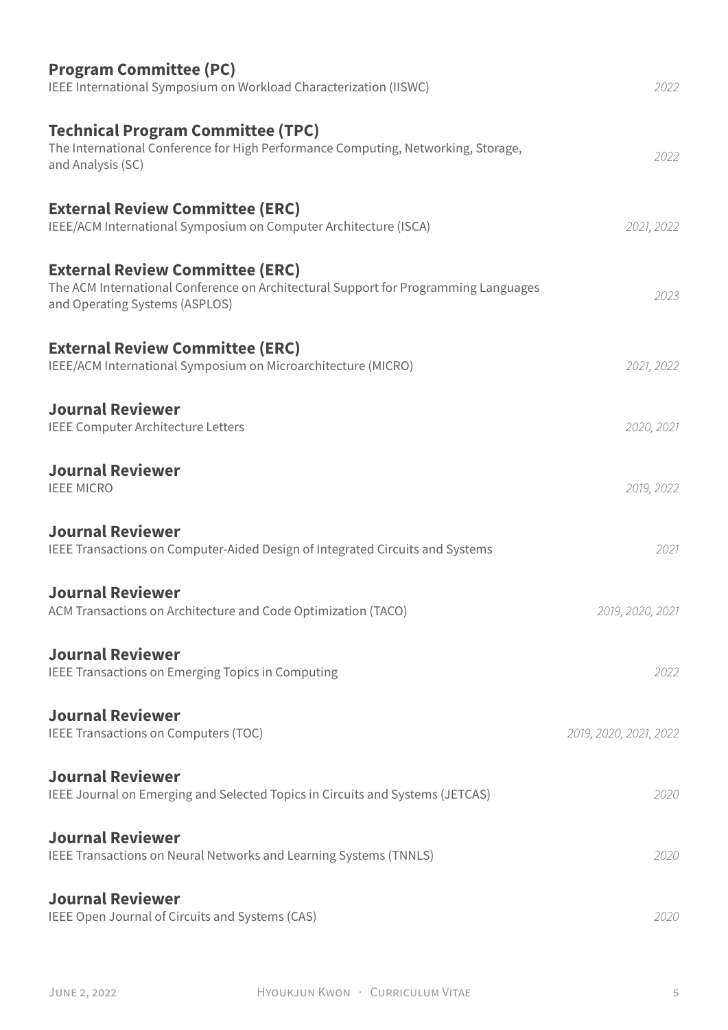| <b>Program Committee (PC)</b><br>IEEE International Symposium on Workload Characterization (IISWC)                                                              | 2022                   |
|-----------------------------------------------------------------------------------------------------------------------------------------------------------------|------------------------|
| <b>Technical Program Committee (TPC)</b><br>The International Conference for High Performance Computing, Networking, Storage,<br>and Analysis (SC)              | 2022                   |
| <b>External Review Committee (ERC)</b><br>IEEE/ACM International Symposium on Computer Architecture (ISCA)                                                      | 2021, 2022             |
| <b>External Review Committee (ERC)</b><br>The ACM International Conference on Architectural Support for Programming Languages<br>and Operating Systems (ASPLOS) | 2023                   |
| <b>External Review Committee (ERC)</b><br>IEEE/ACM International Symposium on Microarchitecture (MICRO)                                                         | 2021, 2022             |
| <b>Journal Reviewer</b><br>IEEE Computer Architecture Letters                                                                                                   | 2020, 2021             |
| <b>Journal Reviewer</b><br><b>IEEE MICRO</b>                                                                                                                    | 2019, 2022             |
| <b>Journal Reviewer</b><br>IEEE Transactions on Computer-Aided Design of Integrated Circuits and Systems                                                        | 2021                   |
| <b>Journal Reviewer</b><br>ACM Transactions on Architecture and Code Optimization (TACO)                                                                        | 2019, 2020, 2021       |
| <b>Journal Reviewer</b><br>IEEE Transactions on Emerging Topics in Computing                                                                                    | 2022                   |
| <b>Journal Reviewer</b><br>IEEE Transactions on Computers (TOC)                                                                                                 | 2019, 2020, 2021, 2022 |
| <b>Journal Reviewer</b><br>IEEE Journal on Emerging and Selected Topics in Circuits and Systems (JETCAS)                                                        | 2020                   |
| <b>Journal Reviewer</b><br>IEEE Transactions on Neural Networks and Learning Systems (TNNLS)                                                                    | 2020                   |
| <b>Journal Reviewer</b><br>IEEE Open Journal of Circuits and Systems (CAS)                                                                                      | 2020                   |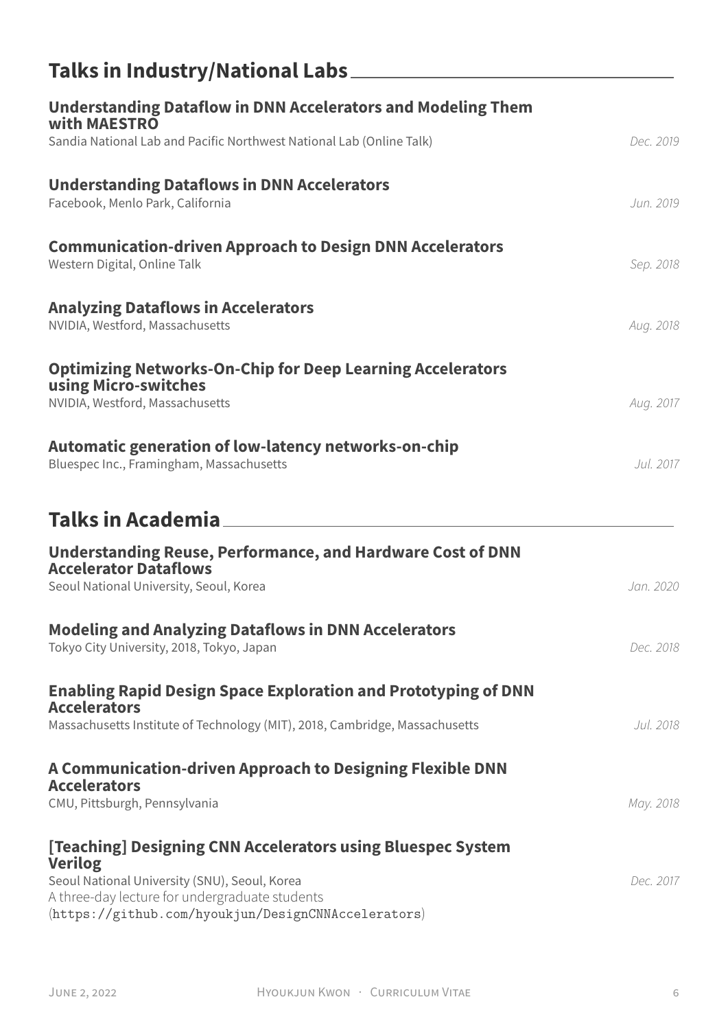| Talks in Industry/National Labs_                                                                                                                       |           |
|--------------------------------------------------------------------------------------------------------------------------------------------------------|-----------|
| <b>Understanding Dataflow in DNN Accelerators and Modeling Them</b><br>with MAESTRO                                                                    |           |
| Sandia National Lab and Pacific Northwest National Lab (Online Talk)                                                                                   | Dec. 2019 |
| <b>Understanding Dataflows in DNN Accelerators</b><br>Facebook, Menlo Park, California                                                                 | Jun. 2019 |
| <b>Communication-driven Approach to Design DNN Accelerators</b><br>Western Digital, Online Talk                                                        | Sep. 2018 |
| <b>Analyzing Dataflows in Accelerators</b><br>NVIDIA, Westford, Massachusetts                                                                          | Aug. 2018 |
| <b>Optimizing Networks-On-Chip for Deep Learning Accelerators</b><br>using Micro-switches<br>NVIDIA, Westford, Massachusetts                           | Aug. 2017 |
| Automatic generation of low-latency networks-on-chip<br>Bluespec Inc., Framingham, Massachusetts                                                       | Jul. 2017 |
| Talks in Academia                                                                                                                                      |           |
| <b>Understanding Reuse, Performance, and Hardware Cost of DNN</b><br><b>Accelerator Dataflows</b>                                                      |           |
| Seoul National University, Seoul, Korea                                                                                                                | Jan. 2020 |
| <b>Modeling and Analyzing Dataflows in DNN Accelerators</b><br>Tokyo City University, 2018, Tokyo, Japan                                               | Dec. 2018 |
| <b>Enabling Rapid Design Space Exploration and Prototyping of DNN</b>                                                                                  |           |
| <b>Accelerators</b><br>Massachusetts Institute of Technology (MIT), 2018, Cambridge, Massachusetts                                                     | Jul. 2018 |
| A Communication-driven Approach to Designing Flexible DNN<br><b>Accelerators</b>                                                                       |           |
| CMU, Pittsburgh, Pennsylvania                                                                                                                          | May. 2018 |
| [Teaching] Designing CNN Accelerators using Bluespec System<br><b>Verilog</b>                                                                          |           |
| Seoul National University (SNU), Seoul, Korea<br>A three-day lecture for undergraduate students<br>(https://github.com/hyoukjun/DesignCNNAccelerators) | Dec. 2017 |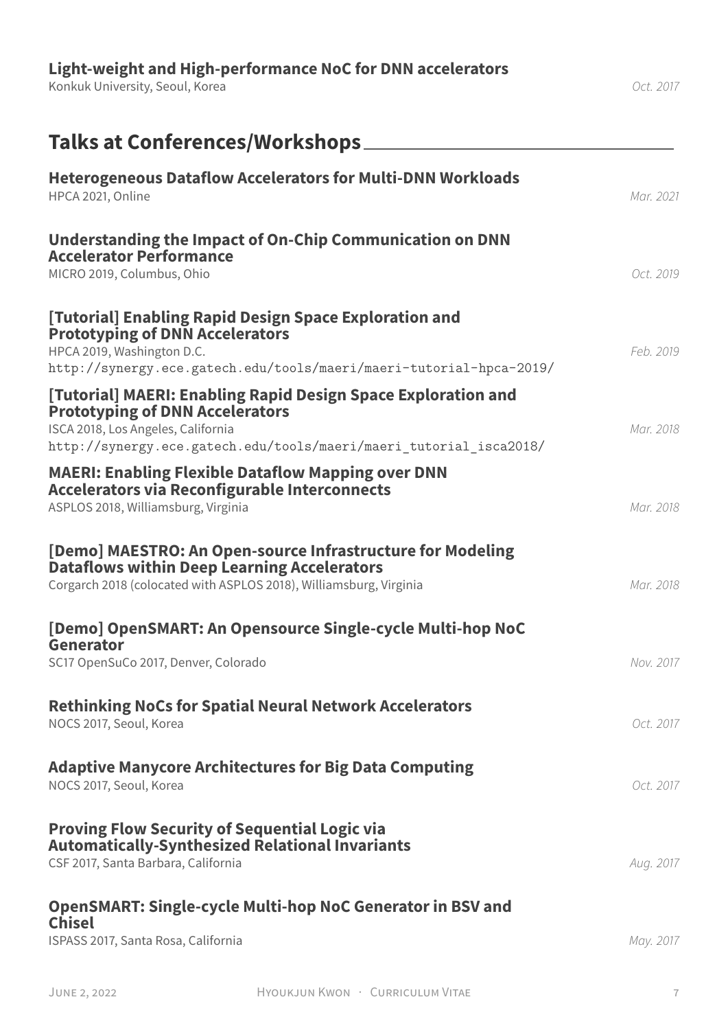| Light-weight and High-performance NoC for DNN accelerators<br>Konkuk University, Seoul, Korea                                                                                                                       | Oct. 2017 |
|---------------------------------------------------------------------------------------------------------------------------------------------------------------------------------------------------------------------|-----------|
| Talks at Conferences/Workshops_                                                                                                                                                                                     |           |
| <b>Heterogeneous Dataflow Accelerators for Multi-DNN Workloads</b><br>HPCA 2021, Online                                                                                                                             | Mar. 2021 |
| Understanding the Impact of On-Chip Communication on DNN<br><b>Accelerator Performance</b><br>MICRO 2019, Columbus, Ohio                                                                                            | Oct. 2019 |
| [Tutorial] Enabling Rapid Design Space Exploration and<br><b>Prototyping of DNN Accelerators</b><br>HPCA 2019, Washington D.C.<br>http://synergy.ece.gatech.edu/tools/maeri/maeri-tutorial-hpca-2019/               | Feb. 2019 |
| [Tutorial] MAERI: Enabling Rapid Design Space Exploration and<br><b>Prototyping of DNN Accelerators</b><br>ISCA 2018, Los Angeles, California<br>http://synergy.ece.gatech.edu/tools/maeri/maeri tutorial isca2018/ | Mar. 2018 |
| <b>MAERI: Enabling Flexible Dataflow Mapping over DNN</b><br><b>Accelerators via Reconfigurable Interconnects</b><br>ASPLOS 2018, Williamsburg, Virginia                                                            | Mar. 2018 |
| [Demo] MAESTRO: An Open-source Infrastructure for Modeling<br><b>Dataflows within Deep Learning Accelerators</b><br>Corgarch 2018 (colocated with ASPLOS 2018), Williamsburg, Virginia                              | Mar. 2018 |
| [Demo] OpenSMART: An Opensource Single-cycle Multi-hop NoC<br>Generator<br>SC17 OpenSuCo 2017, Denver, Colorado                                                                                                     | Nov. 2017 |
| <b>Rethinking NoCs for Spatial Neural Network Accelerators</b><br>NOCS 2017, Seoul, Korea                                                                                                                           | Oct. 2017 |
| <b>Adaptive Manycore Architectures for Big Data Computing</b><br>NOCS 2017, Seoul, Korea                                                                                                                            | Oct. 2017 |
| <b>Proving Flow Security of Sequential Logic via</b><br><b>Automatically-Synthesized Relational Invariants</b><br>CSF 2017, Santa Barbara, California                                                               | Aug. 2017 |
| <b>OpenSMART: Single-cycle Multi-hop NoC Generator in BSV and</b><br><b>Chisel</b><br>ISPASS 2017, Santa Rosa, California                                                                                           | May. 2017 |